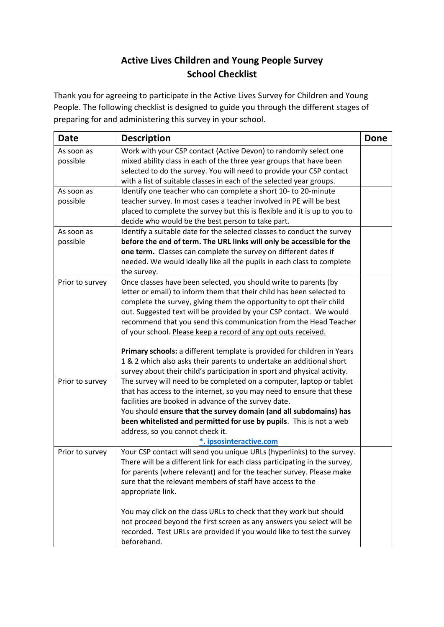## **Active Lives Children and Young People Survey School Checklist**

Thank you for agreeing to participate in the Active Lives Survey for Children and Young People. The following checklist is designed to guide you through the different stages of preparing for and administering this survey in your school.

| Date            | <b>Description</b>                                                         | Done |
|-----------------|----------------------------------------------------------------------------|------|
| As soon as      | Work with your CSP contact (Active Devon) to randomly select one           |      |
| possible        | mixed ability class in each of the three year groups that have been        |      |
|                 | selected to do the survey. You will need to provide your CSP contact       |      |
|                 | with a list of suitable classes in each of the selected year groups.       |      |
| As soon as      | Identify one teacher who can complete a short 10- to 20-minute             |      |
| possible        | teacher survey. In most cases a teacher involved in PE will be best        |      |
|                 | placed to complete the survey but this is flexible and it is up to you to  |      |
|                 | decide who would be the best person to take part.                          |      |
| As soon as      | Identify a suitable date for the selected classes to conduct the survey    |      |
| possible        | before the end of term. The URL links will only be accessible for the      |      |
|                 | one term. Classes can complete the survey on different dates if            |      |
|                 | needed. We would ideally like all the pupils in each class to complete     |      |
|                 | the survey.                                                                |      |
| Prior to survey | Once classes have been selected, you should write to parents (by           |      |
|                 | letter or email) to inform them that their child has been selected to      |      |
|                 | complete the survey, giving them the opportunity to opt their child        |      |
|                 | out. Suggested text will be provided by your CSP contact. We would         |      |
|                 | recommend that you send this communication from the Head Teacher           |      |
|                 | of your school. Please keep a record of any opt outs received.             |      |
|                 | Primary schools: a different template is provided for children in Years    |      |
|                 | 1 & 2 which also asks their parents to undertake an additional short       |      |
|                 | survey about their child's participation in sport and physical activity.   |      |
| Prior to survey | The survey will need to be completed on a computer, laptop or tablet       |      |
|                 | that has access to the internet, so you may need to ensure that these      |      |
|                 | facilities are booked in advance of the survey date.                       |      |
|                 | You should ensure that the survey domain (and all subdomains) has          |      |
|                 | been whitelisted and permitted for use by pupils. This is not a web        |      |
|                 | address, so you cannot check it.                                           |      |
|                 | *. ipsosinteractive.com                                                    |      |
| Prior to survey | Your CSP contact will send you unique URLs (hyperlinks) to the survey.     |      |
|                 | There will be a different link for each class participating in the survey, |      |
|                 | for parents (where relevant) and for the teacher survey. Please make       |      |
|                 | sure that the relevant members of staff have access to the                 |      |
|                 | appropriate link.                                                          |      |
|                 |                                                                            |      |
|                 | You may click on the class URLs to check that they work but should         |      |
|                 | not proceed beyond the first screen as any answers you select will be      |      |
|                 | recorded. Test URLs are provided if you would like to test the survey      |      |
|                 | beforehand.                                                                |      |